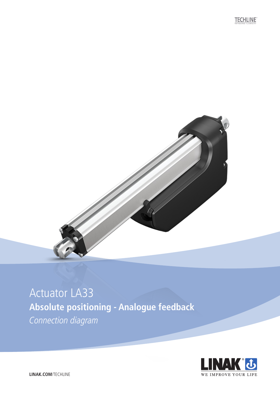**TECHLINE** 



### Actuator LA33 **Absolute positioning - Analogue feedback**

Connection diagram

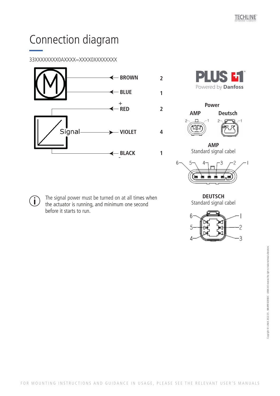# Connection diagram

### 33XXXXXXXX0AXXXX=XXXX0XXXXXXXX





**2**

**1**

**2**

**1**

**4**



**AMP**  Standard signal cabel



**DEUTSCH**  Standard signal cabel



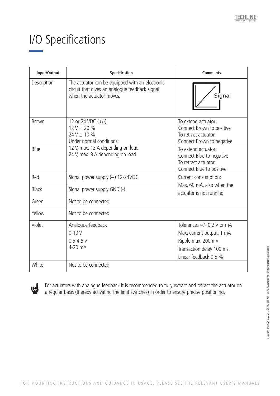# I/O Specifications

| Input/Output | <b>Specification</b>                                                                                                          | <b>Comments</b>                                                                                       |
|--------------|-------------------------------------------------------------------------------------------------------------------------------|-------------------------------------------------------------------------------------------------------|
| Description  | The actuator can be equipped with an electronic<br>circuit that gives an analogue feedback signal<br>when the actuator moves. | Signal                                                                                                |
| <b>Brown</b> | 12 or 24 VDC $(+/-)$<br>$12 V \pm 20 \%$<br>$24V \pm 10 \%$<br>Under normal conditions:                                       | To extend actuator:<br>Connect Brown to positive<br>To retract actuator:<br>Connect Brown to negative |
| Blue         | 12 V, max. 13 A depending on load<br>24 V, max. 9 A depending on load                                                         | To extend actuator:<br>Connect Blue to negative<br>To retract actuator:<br>Connect Blue to positive   |
| Red          | Signal power supply $(+)$ 12-24VDC                                                                                            | Current consumption:                                                                                  |
| <b>Black</b> | Signal power supply GND (-)                                                                                                   | Max. 60 mA, also when the<br>actuator is not running                                                  |
| Green        | Not to be connected                                                                                                           |                                                                                                       |
| Yellow       | Not to be connected                                                                                                           |                                                                                                       |
| Violet       | Analogue feedback                                                                                                             | Tolerances $+/-$ 0.2 V or mA                                                                          |
|              | $0 - 10V$                                                                                                                     | Max. current output: 1 mA                                                                             |
|              | $0.5 - 4.5$ V                                                                                                                 | Ripple max. 200 mV                                                                                    |
|              | 4-20 mA                                                                                                                       | Transaction delay 100 ms                                                                              |
|              |                                                                                                                               | Linear feedback 0.5 %                                                                                 |
| White        | Not to be connected                                                                                                           |                                                                                                       |



For actuators with analogue feedback it is recommended to fully extract and retract the actuator on a regular basis (thereby activating the limit switches) in order to ensure precise positioning.